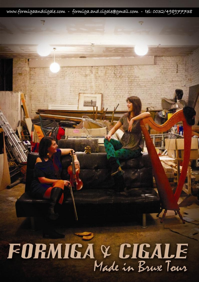www.formigaandcigale.com - formiga.and.cigale@gmail.com - tel: 0032/498977738

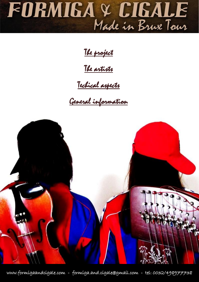## FORMIGA & CIGALE

The project

The artists

## Techical aspects

General information



www.formigaandcigale.com - formiga.and.cigale@gmail.com - tel: 0032/498977738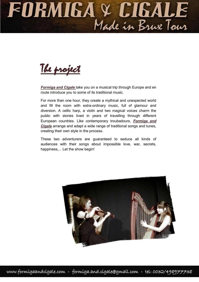## FORMIGA & CIGALE



*Formiga and Cigale* take you on a musical trip through Europe and en route introduce you to some of its traditional music.

For more than one hour, they create a mythical and unexpected world and fill the room with extra-ordinary music, full of glamour and diversion. A celtic harp, a violin and two magical voices charm the public with stories lived in years of travelling through different European countries. Like contemporary troubadours, *Formiga and Cigale* arrange and adapt a wide range of traditional songs and tunes, creating their own style in the process.

These two adventurers are guaranteed to seduce all kinds of audiences with their songs about impossible love, war, secrets, happiness,... Let the show begin!

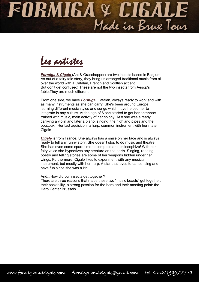## FORMIGA & CIGALE



**Formiga & Cigale** (Ant & Grasshopper) are two insects based in Belgium. As out of a fairy tale story, they bring us arranged traditional music from all over the world with a Catalan, French and Scottish accent. But don't get confused! These are not the two insects from Aesop's fable.They are much different!

From one side, we have *Formiga*. Catalan, always ready to work and with as many instruments as she can carry. She's been around Europe learning different music styles and songs which have helped her to integrate in any culture. At the age of 6 she started to get her antennae trained with music, main activity of her colony. At 8 she was already carrying a violin and later a piano, singing, the highland pipes and the bouzouki. Her last aquisition: a harp, common instrument with her mate Cigale.

*Cigale* is from France. She always has a smile on her face and is always ready to tell any funny story. She doesn't stop to do music and theatre. She has even some spare time to compose and philosophize! With her fairy voice she hypnotizes any creature on the earth. Singing, reading poetry and telling stories are some of her weapons hidden under her wings. Furthermore, Cigale likes to experiment with any musical instrument, but mostly with her harp. A star that loves to dance, sing and have fun since she was a kid.

And...How did our insects get together?

There are three reasons that made these two "music beasts" get together: their sociability, a strong passion for the harp and their meeting point: the Harp Center Brussels.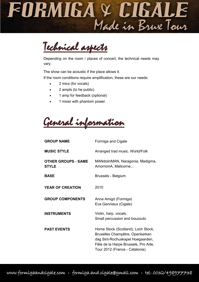

Technical aspects

Depending on the room / places of concert, the technical needs may vary.

The show can be acoustic if the place allows it.

If the room conditions require amplification, these are our needs:

- 2 mics (for vocals)
- 2 ampls (to he public)
- 1 amp for feedback (optional)
- 1 mixer with phantom power.

General information

| <b>GROUP NAME</b>                          | Formiga and Cigale                                                                                                                                                                   |
|--------------------------------------------|--------------------------------------------------------------------------------------------------------------------------------------------------------------------------------------|
| <b>MUSIC STYLE</b>                         | Arranged trad music. World/Folk                                                                                                                                                      |
| <b>OTHER GROUPS - SAME</b><br><b>STYLE</b> | MANdolinMAN, Naragonia, Madigma,<br>AmorromA, Malicorne                                                                                                                              |
| <b>BASE</b>                                | Brussels - Belgium                                                                                                                                                                   |
| <b>YEAR OF CREATION</b>                    | 2010                                                                                                                                                                                 |
| <b>GROUP COMPONENTS</b>                    | Anna Amigó (Formiga)<br>Eva Genniaux (Cigale)                                                                                                                                        |
| <b>INSTRUMENTS</b>                         | Violin, harp, vocals.<br>Small percussion and bouzouki.                                                                                                                              |
| <b>PAST EVENTS</b>                         | Home Stock (Scotland), Loch Stock,<br>Bruxelles Champêtre, Openkerken<br>dag Sint-Rochuskapel Hoegaarden,<br>Fête de la Harpe Brussels, Pro Arte,<br>Tour 2012 (France - Catalonia). |

www.formigaandcigale.com - formiga.and.cigale@gmail.com - tel: 0032/498977738